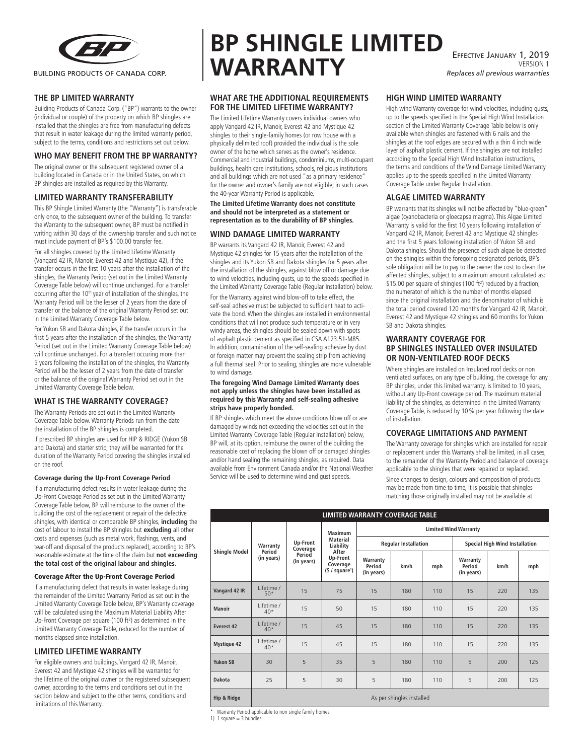

# **THE BP LIMITED WARRANTY**

Building Products of Canada Corp. ("BP") warrants to the owner (individual or couple) of the property on which BP shingles are installed that the shingles are free from manufacturing defects that result in water leakage during the limited warranty period, subject to the terms, conditions and restrictions set out below.

#### **WHO MAY BENEFIT FROM THE BP WARRANTY?**

The original owner or the subsequent registered owner of a building located in Canada or in the United States, on which BP shingles are installed as required by this Warranty.

# **LIMITED WARRANTY TRANSFERABILITY**

This BP Shingle Limited Warranty (the "Warranty") is transferable only once, to the subsequent owner of the building. To transfer the Warranty to the subsequent owner, BP must be notified in writing within 30 days of the ownership transfer and such notice must include payment of BP's \$100.00 transfer fee.

For all shingles covered by the Limited Lifetime Warranty (Vangard 42 IR, Manoir, Everest 42 and Mystique 42), if the transfer occurs in the first 10 years after the installation of the shingles, the Warranty Period (set out in the Limited Warranty Coverage Table below) will continue unchanged. For a transfer occurring after the 10<sup>th</sup> year of installation of the shingles, the Warranty Period will be the lesser of 2 years from the date of transfer or the balance of the original Warranty Period set out in the Limited Warranty Coverage Table below.

For Yukon SB and Dakota shingles, if the transfer occurs in the first 5 years after the installation of the shingles, the Warranty Period (set out in the Limited Warranty Coverage Table below) will continue unchanged. For a transfert occuring more than 5 years following the installation of the shingles, the Warranty Period will be the lesser of 2 years from the date of transfer or the balance of the original Warranty Period set out in the Limited Warranty Coverage Table below.

#### **WHAT IS THE WARRANTY COVERAGE?**

The Warranty Periods are set out in the Limited Warranty Coverage Table below. Warranty Periods run from the date the installation of the BP shingles is completed.

If prescribed BP shingles are used for HIP & RIDGE (Yukon SB and Dakota) and starter strip, they will be warranted for the duration of the Warranty Period covering the shingles installed on the roof.

#### **Coverage during the Up-Front Coverage Period**

If a manufacturing defect results in water leakage during the Up-Front Coverage Period as set out in the Limited Warranty Coverage Table below, BP will reimburse to the owner of the building the cost of the replacement or repair of the defective shingles, with identical or comparable BP shingles, **including** the cost of labour to install the BP shingles but **excluding** all other costs and expenses (such as metal work, flashings, vents, and tear-off and disposal of the products replaced), according to BP's reasonable estimate at the time of the claim but **not exceeding the total cost of the original labour and shingles**.

#### Coverage After the Up-Front Coverage Period

If a manufacturing defect that results in water leakage during the remainder of the Limited Warranty Period as set out in the Limited Warranty Coverage Table below, BP's Warranty coverage will be calculated using the Maximum Material Liability After Up-Front Coverage per square (100 ft²) as determined in the Limited Warranty Coverage Table, reduced for the number of months elapsed since installation.

#### **LIMITED LIFETIME WARRANTY**

For eligible owners and buildings, Vangard 42 IR, Manoir, Everest 42 and Mystique 42 shingles will be warranted for the lifetime of the original owner or the registered subsequent owner, according to the terms and conditions set out in the section below and subject to the other terms, conditions and limitations of this Warranty.

# **BP SHINGLE LIMITED WARRANTY**

## **WHAT ARE THE ADDITIONAL REQUIREMENTS FOR THE LIMITED LIFETIME WARRANTY?**

The Limited Lifetime Warranty covers individual owners who apply Vangard 42 IR, Manoir, Everest 42 and Mystique 42 shingles to their single-family homes (or row house with a physically delimited roof) provided the individual is the sole owner of the home which serves as the owner's residence. Commercial and industrial buildings, condominiums, multi-occupant buildings, health care institutions, schools, religious institutions and all buildings which are not used "as a primary residence" for the owner and owner's family are not eligible; in such cases the 40-year Warranty Period is applicable.

**The Limited Lifetime Warranty does not constitute and should not be interpreted as a statement or representation as to the durability of BP shingles.**

### **WIND DAMAGE LIMITED WARRANTY**

BP warrants its Vangard 42 IR, Manoir, Everest 42 and Mystique 42 shingles for 15 years after the installation of the shingles and its Yukon SB and Dakota shingles for 5 years after the installation of the shingles, against blow off or damage due to wind velocities, including gusts, up to the speeds specified in the Limited Warranty Coverage Table (Regular Installation) below. For the Warranty against wind blow-off to take effect, the self-seal adhesive must be subjected to sufficient heat to activate the bond. When the shingles are installed in environmental conditions that will not produce such temperature or in very windy areas, the shingles should be sealed down with spots of asphalt plastic cement as specified in CSA A123.51-M85. In addition, contamination of the self-sealing adhesive by dust or foreign matter may prevent the sealing strip from achieving a full thermal seal. Prior to sealing, shingles are more vulnerable to wind damage.

#### **The foregoing Wind Damage Limited Warranty does not apply unless the shingles have been installed as required by this Warranty and self-sealing adhesive strips have properly bonded.**

If BP shingles which meet the above conditions blow off or are damaged by winds not exceeding the velocities set out in the Limited Warranty Coverage Table (Regular Installation) below, BP will, at its option, reimburse the owner of the building the reasonable cost of replacing the blown off or damaged shingles and/or hand sealing the remaining shingles, as required. Data available from Environment Canada and/or the National Weather Service will be used to determine wind and gust speeds.

Effective January 1, 2019 VERSION 1 *Replaces all previous warranties*

### **HIGH WIND LIMITED WARRANTY**

High wind Warranty coverage for wind velocities, including gusts, up to the speeds specified in the Special High Wind Installation section of the Limited Warranty Coverage Table below is only available when shingles are fastened with 6 nails and the shingles at the roof edges are secured with a thin 4 inch wide layer of asphalt plastic cement. If the shingles are not installed according to the Special High Wind Installation instructions, the terms and conditions of the Wind Damage Limited Warranty applies up to the speeds specified in the Limited Warranty Coverage Table under Regular Installation.

# **ALGAE LIMITED WARRANTY**

BP warrants that its shingles will not be affected by "blue-green" algae (cyanobacteria or gloecapsa magma). This Algae Limited Warranty is valid for the first 10 years following installation of Vangard 42 IR, Manoir, Everest 42 and Mystique 42 shingles and the first 5 years following installation of Yukon SB and Dakota shingles. Should the presence of such algae be detected on the shingles within the foregoing designated periods, BP's sole obligation will be to pay to the owner the cost to clean the affected shingles, subject to a maximum amount calculated as: \$15.00 per square of shingles (100 ft²) reduced by a fraction, the numerator of which is the number of months elapsed since the original installation and the denominator of which is the total period covered 120 months for Vangard 42 IR, Manoir, Everest 42 and Mystique 42 shingles and 60 months for Yukon SB and Dakota shingles.

#### **WARRANTY COVERAGE FOR BP SHINGLES INSTALLED OVER INSULATED OR NON-VENTILATED ROOF DECKS**

Where shingles are installed on Insulated roof decks or non ventilated surfaces, on any type of building, the coverage for any BP shingles, under this limited warranty, is limited to 10 years, without any Up-Front coverage period. The maximum material liability of the shingles, as determined in the Limited Warranty Coverage Table, is reduced by 10% per year following the date of installation.

# **COVERAGE LIMITATIONS AND PAYMENT**

The Warranty coverage for shingles which are installed for repair or replacement under this Warranty shall be limited, in all cases, to the remainder of the Warranty Period and balance of coverage applicable to the shingles that were repaired or replaced.

Since changes to design, colours and composition of products may be made from time to time, it is possible that shingles matching those originally installed may not be available at

| LIMITED WARRANTY COVERAGE TABLE |                                  |                                              |                                                                                           |                                  |      |     |                                       |      |     |
|---------------------------------|----------------------------------|----------------------------------------------|-------------------------------------------------------------------------------------------|----------------------------------|------|-----|---------------------------------------|------|-----|
| <b>Shingle Model</b>            | Warranty<br>Period<br>(in years) | Up-Front<br>Coverage<br>Period<br>(in years) | Maximum<br><b>Material</b><br>Liability<br>After<br>Up-Front<br>Coverage<br>(§ / square') | <b>Limited Wind Warranty</b>     |      |     |                                       |      |     |
|                                 |                                  |                                              |                                                                                           | <b>Regular Installation</b>      |      |     | <b>Special High Wind Installation</b> |      |     |
|                                 |                                  |                                              |                                                                                           | Warranty<br>Period<br>(in years) | km/h | mph | Warranty<br>Period<br>(in years)      | km/h | mph |
| Vangard 42 IR                   | I ifetime /<br>$50*$             | 15                                           | 75                                                                                        | 15                               | 180  | 110 | 15                                    | 220  | 135 |
| Manoir                          | I ifetime /<br>$40*$             | 15                                           | 50                                                                                        | 15                               | 180  | 110 | 15                                    | 220  | 135 |
| Everest 42                      | I ifetime /<br>$40*$             | 15                                           | 45                                                                                        | 15                               | 180  | 110 | 15                                    | 220  | 135 |
| <b>Mystique 42</b>              | Lifetime /<br>$40*$              | 15                                           | 45                                                                                        | 15                               | 180  | 110 | 15                                    | 220  | 135 |
| <b>Yukon SB</b>                 | 30                               | 5                                            | 35                                                                                        | 5                                | 180  | 110 | 5                                     | 200  | 125 |
| Dakota                          | 25                               | 5                                            | 30                                                                                        | 5                                | 180  | 110 | 5                                     | 200  | 125 |
| Hip & Ridge                     | As per shingles installed        |                                              |                                                                                           |                                  |      |     |                                       |      |     |

\* Warranty Period applicable to non single family homes

1) 1 square  $=$  3 bundles